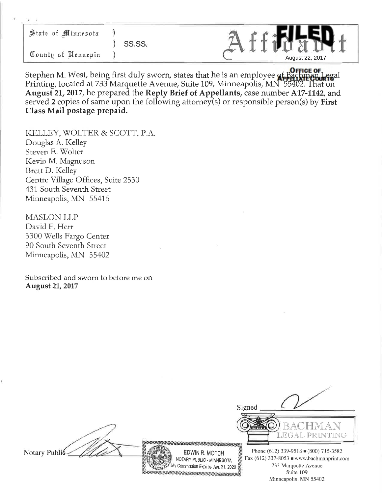| State of Minnesota | $\mathcal{E}$ |
|--------------------|---------------|
|                    |               |
| County of Nennepin |               |



Stephen M. West, being first duly sworn, states that he is an employee of Bachman Legal Printing, located at 733 Marquette Avenue, Suite 109, Minneapolis, MN 55402. That on **August 21, 2017,** he prepared the **Reply Brief of Appellants,** case number **A17-1142,** and served 2 copies of same upon the following attorney(s) or responsible person(s) by **First Class Mail postage prepaid.**

KELLEY, WOLTER & SCOTT, P.A. Douglas A. Kelley Steven E. Wolter Kevin M. Magnuson Brett D. Kelley Centre Village Offices, Suite 2530 431 South Seventh Street Minneapolis, MN 55415

MASLON LLP David F. Herr 3300 Wells Fargo Center 90 South Seventh Street Minneapolis, MN 55402

Subscribed and sworn to before me on **August 21, 2017**

Notary Publi

EDWIN R. MOTCH NOTARY PUBLIC - MINNESOTA My Commission Expires Jan. 31, 2020 BII I I I I I I I I I I I I I I



Phone (612) 339-9518 (800) 715-3582 Fax  $(612)$  337-8053 www.bachmanprint.com 733 Marquette Avenue Suite 109 Minneapolis, MN 55402